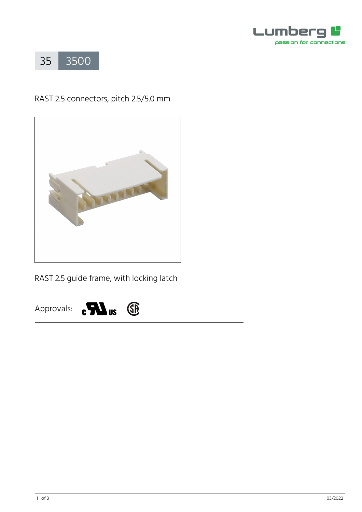



# RAST 2.5 connectors, pitch 2.5/5.0 mm



RAST 2.5 guide frame, with locking latch

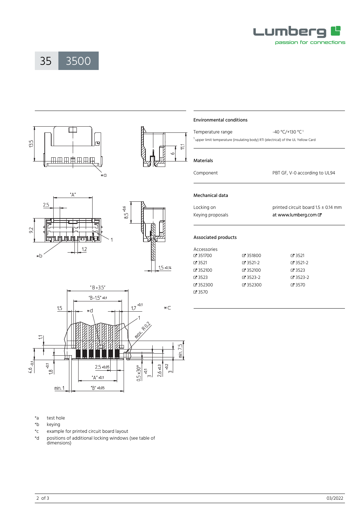

35 [3500](https://www.lumberg.com/en/products/product/3500)









## \*a test hole

- \*b keying
- \*c example for printed circuit board layout
- \*d positions of additional locking windows (see table of dimensions)

### Environmental conditions

| Temperature range                                                                             | $-40 °C/+130 °C1$ |  |  |  |
|-----------------------------------------------------------------------------------------------|-------------------|--|--|--|
| <sup>1</sup> upper limit temperature (insulating body) RTI (electrical) of the UL Yellow Card |                   |  |  |  |

#### Materials

Component PBT GF, V-0 according to UL94

# Mechanical data

Locking on **printed circuit board 1.5** ± 0.14 mm Keying proposals [at www.lumberg.com](https://downloads.lumberg.com/kodiervorschlaege/3500%20kodierungen.pdf)  $\sigma$ 

## Associated products

| Accessories  |            |                |
|--------------|------------|----------------|
| Z 351700     | ₫ 351800   | $C = 3521$     |
| $C = 3521$   | $C$ 3521-2 | $C$ 3521-2     |
| $C = 352100$ | ේ 352100   | $C = 3523$     |
| $C = 3523$   | $C$ 3523-2 | $C = 3523 - 2$ |
| $C = 352300$ | ₫ 352300   | <b>C</b> 3570  |
| $C = 3570$   |            |                |